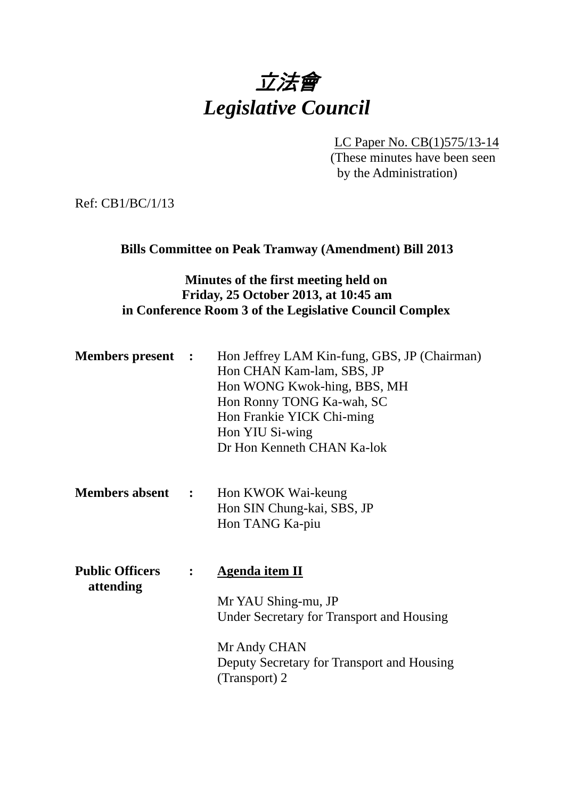

LC Paper No. CB(1)575/13-14 (These minutes have been seen by the Administration)

Ref: CB1/BC/1/13

### **Bills Committee on Peak Tramway (Amendment) Bill 2013**

## **Minutes of the first meeting held on Friday, 25 October 2013, at 10:45 am in Conference Room 3 of the Legislative Council Complex**

|  | <b>Members present :</b> Hon Jeffrey LAM Kin-fung, GBS, JP (Chairman) |
|--|-----------------------------------------------------------------------|
|  | Hon CHAN Kam-lam, SBS, JP                                             |
|  | Hon WONG Kwok-hing, BBS, MH                                           |
|  | Hon Ronny TONG Ka-wah, SC                                             |
|  | Hon Frankie YICK Chi-ming                                             |
|  | Hon YIU Si-wing                                                       |
|  | Dr Hon Kenneth CHAN Ka-lok                                            |

- **Members absent :**  Hon KWOK Wai-keung Hon SIN Chung-kai, SBS, JP Hon TANG Ka-piu
- **Public Officers : Agenda item II attending**  Mr YAU Shing-mu, JP Under Secretary for Transport and Housing Mr Andy CHAN

Deputy Secretary for Transport and Housing (Transport) 2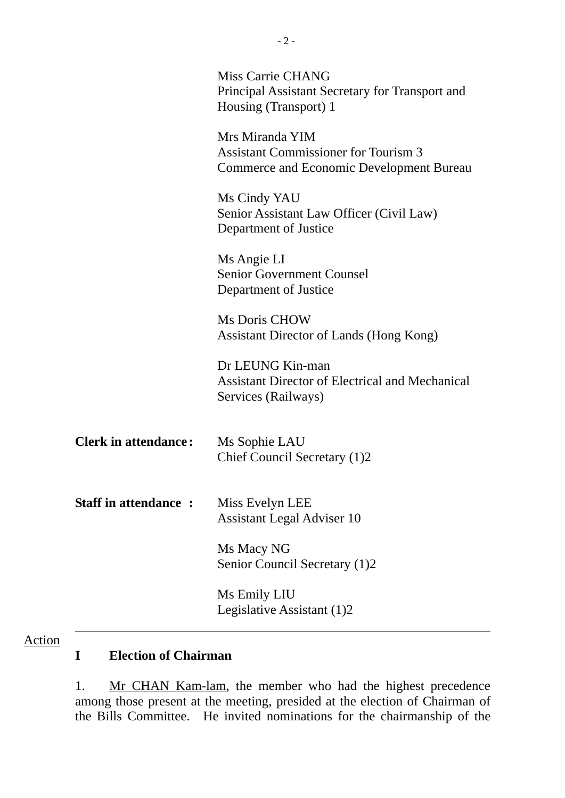|                             | <b>Miss Carrie CHANG</b><br>Principal Assistant Secretary for Transport and<br>Housing (Transport) 1              |
|-----------------------------|-------------------------------------------------------------------------------------------------------------------|
|                             | Mrs Miranda YIM<br><b>Assistant Commissioner for Tourism 3</b><br><b>Commerce and Economic Development Bureau</b> |
|                             | Ms Cindy YAU<br>Senior Assistant Law Officer (Civil Law)<br>Department of Justice                                 |
|                             | Ms Angie LI<br><b>Senior Government Counsel</b><br>Department of Justice                                          |
|                             | Ms Doris CHOW<br>Assistant Director of Lands (Hong Kong)                                                          |
|                             | Dr LEUNG Kin-man<br><b>Assistant Director of Electrical and Mechanical</b><br>Services (Railways)                 |
| <b>Clerk in attendance:</b> | Ms Sophie LAU<br>Chief Council Secretary (1)2                                                                     |
| <b>Staff in attendance:</b> | Miss Evelyn LEE<br><b>Assistant Legal Adviser 10</b>                                                              |
|                             | Ms Macy NG<br>Senior Council Secretary (1)2                                                                       |
|                             | Ms Emily LIU<br>Legislative Assistant (1)2                                                                        |

## Action

# **I Election of Chairman**

1. Mr CHAN Kam-lam, the member who had the highest precedence among those present at the meeting, presided at the election of Chairman of the Bills Committee. He invited nominations for the chairmanship of the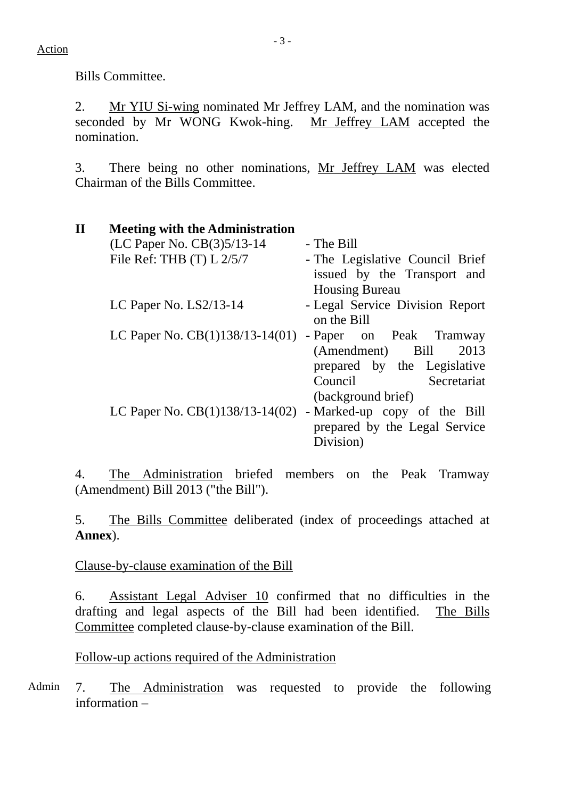Bills Committee.

2. Mr YIU Si-wing nominated Mr Jeffrey LAM, and the nomination was seconded by Mr WONG Kwok-hing. Mr Jeffrey LAM accepted the nomination.

3. There being no other nominations, Mr Jeffrey LAM was elected Chairman of the Bills Committee.

| $\mathbf{I}$ | <b>Meeting with the Administration</b> |                                 |
|--------------|----------------------------------------|---------------------------------|
|              | (LC Paper No. CB(3)5/13-14             | - The Bill                      |
|              | File Ref: THB $(T) L 2/5/7$            | - The Legislative Council Brief |
|              |                                        | issued by the Transport and     |
|              |                                        | <b>Housing Bureau</b>           |
|              | LC Paper No. $LS2/13-14$               | - Legal Service Division Report |
|              |                                        | on the Bill                     |
|              | LC Paper No. $CB(1)138/13-14(01)$      | - Paper on Peak Tramway         |
|              |                                        | (Amendment) Bill<br>2013        |
|              |                                        | prepared by the Legislative     |
|              |                                        | Secretariat<br>Council          |
|              |                                        | (background brief)              |
|              | LC Paper No. $CB(1)138/13-14(02)$      | - Marked-up copy of the Bill    |
|              |                                        | prepared by the Legal Service   |
|              |                                        | Division)                       |

4. The Administration briefed members on the Peak Tramway (Amendment) Bill 2013 ("the Bill").

5. The Bills Committee deliberated (index of proceedings attached at **Annex**).

Clause-by-clause examination of the Bill

6. Assistant Legal Adviser 10 confirmed that no difficulties in the drafting and legal aspects of the Bill had been identified. The Bills Committee completed clause-by-clause examination of the Bill.

Follow-up actions required of the Administration

Admin 7. The Administration was requested to provide the following information –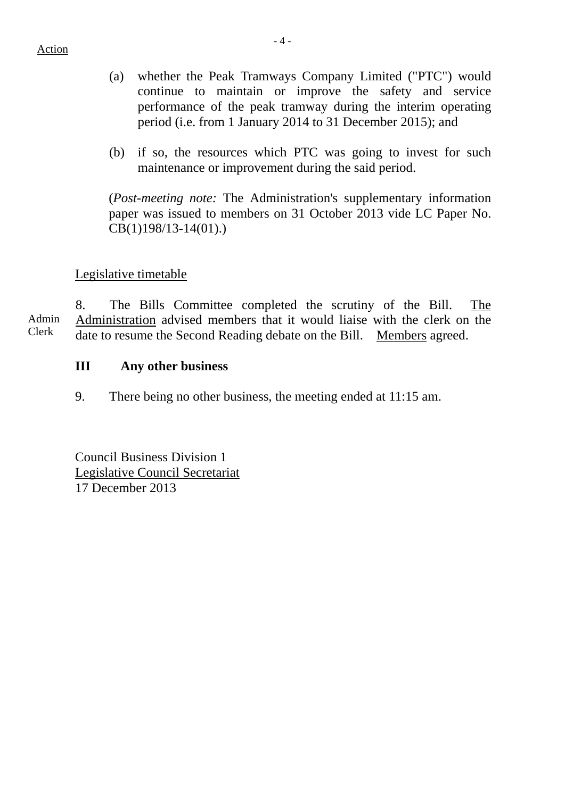- (a) whether the Peak Tramways Company Limited ("PTC") would continue to maintain or improve the safety and service performance of the peak tramway during the interim operating period (i.e. from 1 January 2014 to 31 December 2015); and
- (b) if so, the resources which PTC was going to invest for such maintenance or improvement during the said period.

(*Post-meeting note:* The Administration's supplementary information paper was issued to members on 31 October 2013 vide LC Paper No. CB(1)198/13-14(01).)

## Legislative timetable

Admin Clerk 8. The Bills Committee completed the scrutiny of the Bill. The Administration advised members that it would liaise with the clerk on the date to resume the Second Reading debate on the Bill. Members agreed.

## **III Any other business**

9. There being no other business, the meeting ended at 11:15 am.

Council Business Division 1 Legislative Council Secretariat 17 December 2013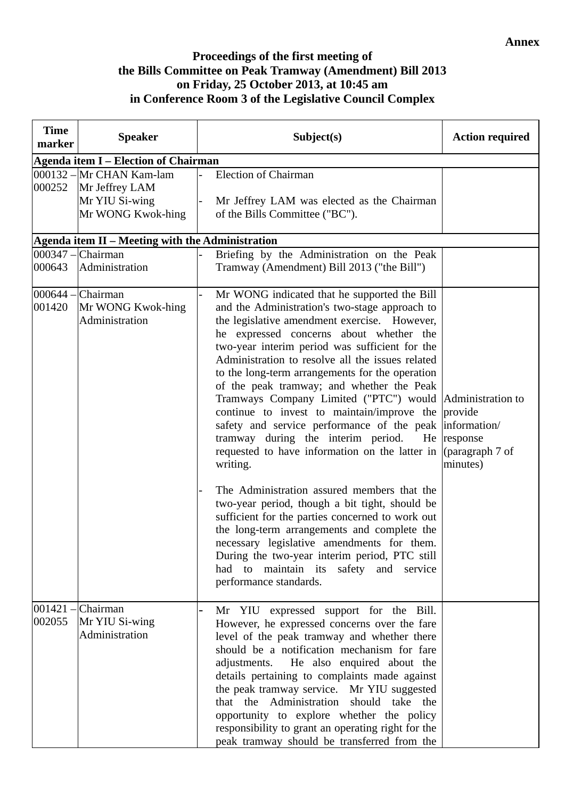#### **Annex**

#### **Proceedings of the first meeting of the Bills Committee on Peak Tramway (Amendment) Bill 2013 on Friday, 25 October 2013, at 10:45 am in Conference Room 3 of the Legislative Council Complex**

| <b>Time</b><br>marker | <b>Speaker</b>                                                                    | Subject(s)                                                                                                                                                                                                                                                                                                                                                                                                                                                                                                                                                                                                                                                                                                                                                                                                                                                                                                                                                           | <b>Action required</b>                                             |
|-----------------------|-----------------------------------------------------------------------------------|----------------------------------------------------------------------------------------------------------------------------------------------------------------------------------------------------------------------------------------------------------------------------------------------------------------------------------------------------------------------------------------------------------------------------------------------------------------------------------------------------------------------------------------------------------------------------------------------------------------------------------------------------------------------------------------------------------------------------------------------------------------------------------------------------------------------------------------------------------------------------------------------------------------------------------------------------------------------|--------------------------------------------------------------------|
|                       | <b>Agenda item I – Election of Chairman</b>                                       |                                                                                                                                                                                                                                                                                                                                                                                                                                                                                                                                                                                                                                                                                                                                                                                                                                                                                                                                                                      |                                                                    |
| 000252                | 000132 - Mr CHAN Kam-lam<br>Mr Jeffrey LAM<br>Mr YIU Si-wing<br>Mr WONG Kwok-hing | <b>Election of Chairman</b><br>Mr Jeffrey LAM was elected as the Chairman<br>of the Bills Committee ("BC").                                                                                                                                                                                                                                                                                                                                                                                                                                                                                                                                                                                                                                                                                                                                                                                                                                                          |                                                                    |
|                       | Agenda item II - Meeting with the Administration                                  |                                                                                                                                                                                                                                                                                                                                                                                                                                                                                                                                                                                                                                                                                                                                                                                                                                                                                                                                                                      |                                                                    |
| 000643                | 000347 – Chairman<br>Administration                                               | Briefing by the Administration on the Peak<br>Tramway (Amendment) Bill 2013 ("the Bill")                                                                                                                                                                                                                                                                                                                                                                                                                                                                                                                                                                                                                                                                                                                                                                                                                                                                             |                                                                    |
| 001420                | $000644$ – Chairman<br>Mr WONG Kwok-hing<br>Administration                        | Mr WONG indicated that he supported the Bill<br>and the Administration's two-stage approach to<br>the legislative amendment exercise. However,<br>he expressed concerns about whether the<br>two-year interim period was sufficient for the<br>Administration to resolve all the issues related<br>to the long-term arrangements for the operation<br>of the peak tramway; and whether the Peak<br>Tramways Company Limited ("PTC") would Administration to<br>continue to invest to maintain/improve the<br>safety and service performance of the peak<br>tramway during the interim period.<br>He<br>requested to have information on the latter in<br>writing.<br>The Administration assured members that the<br>two-year period, though a bit tight, should be<br>sufficient for the parties concerned to work out<br>the long-term arrangements and complete the<br>necessary legislative amendments for them.<br>During the two-year interim period, PTC still | provide<br>information/<br>response<br>(paragraph 7 of<br>minutes) |
| $001421 -$<br>002055  | Chairman<br>Mr YIU Si-wing<br>Administration                                      | had to maintain its safety and service<br>performance standards.<br>Mr YIU expressed support for the Bill.<br>However, he expressed concerns over the fare<br>level of the peak tramway and whether there<br>should be a notification mechanism for fare                                                                                                                                                                                                                                                                                                                                                                                                                                                                                                                                                                                                                                                                                                             |                                                                    |
|                       |                                                                                   | adjustments.<br>He also enquired about the<br>details pertaining to complaints made against<br>the peak tramway service. Mr YIU suggested<br>that the Administration<br>should take the<br>opportunity to explore whether the policy<br>responsibility to grant an operating right for the<br>peak tramway should be transferred from the                                                                                                                                                                                                                                                                                                                                                                                                                                                                                                                                                                                                                            |                                                                    |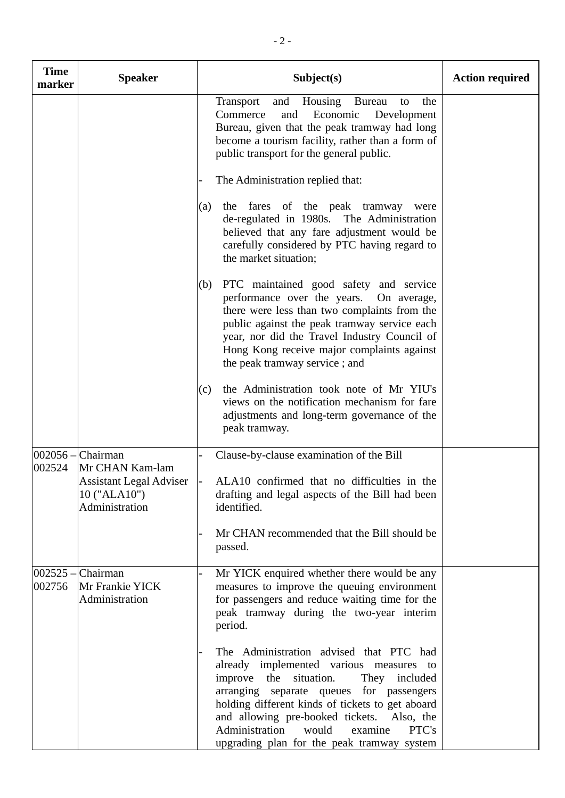| <b>Time</b><br>marker | <b>Speaker</b>                                                   | Subject(s)                                                                                                                                                                                                                                                                                                                                                                     | <b>Action required</b> |
|-----------------------|------------------------------------------------------------------|--------------------------------------------------------------------------------------------------------------------------------------------------------------------------------------------------------------------------------------------------------------------------------------------------------------------------------------------------------------------------------|------------------------|
|                       |                                                                  | and Housing Bureau<br>Transport<br>the<br>to<br>Commerce<br>Economic<br>Development<br>and<br>Bureau, given that the peak tramway had long<br>become a tourism facility, rather than a form of<br>public transport for the general public.                                                                                                                                     |                        |
|                       |                                                                  | The Administration replied that:                                                                                                                                                                                                                                                                                                                                               |                        |
|                       |                                                                  | the fares of the peak tramway were<br>(a)<br>de-regulated in 1980s. The Administration<br>believed that any fare adjustment would be<br>carefully considered by PTC having regard to<br>the market situation;                                                                                                                                                                  |                        |
|                       |                                                                  | PTC maintained good safety and service<br>(b)<br>performance over the years. On average,<br>there were less than two complaints from the<br>public against the peak tramway service each<br>year, nor did the Travel Industry Council of<br>Hong Kong receive major complaints against<br>the peak tramway service; and                                                        |                        |
|                       |                                                                  | the Administration took note of Mr YIU's<br>(c)<br>views on the notification mechanism for fare<br>adjustments and long-term governance of the<br>peak tramway.                                                                                                                                                                                                                |                        |
| 002524                | 002056 - Chairman<br>Mr CHAN Kam-lam                             | Clause-by-clause examination of the Bill                                                                                                                                                                                                                                                                                                                                       |                        |
|                       | <b>Assistant Legal Adviser</b><br>10 ("ALA10")<br>Administration | ALA10 confirmed that no difficulties in the<br>drafting and legal aspects of the Bill had been<br>identified.                                                                                                                                                                                                                                                                  |                        |
|                       |                                                                  | Mr CHAN recommended that the Bill should be<br>passed.                                                                                                                                                                                                                                                                                                                         |                        |
| 002756                | $002525$ - Chairman<br>Mr Frankie YICK<br>Administration         | Mr YICK enquired whether there would be any<br>measures to improve the queuing environment<br>for passengers and reduce waiting time for the<br>peak tramway during the two-year interim<br>period.                                                                                                                                                                            |                        |
|                       |                                                                  | The Administration advised that PTC had<br>already implemented various measures to<br>improve<br>the<br>situation.<br>They included<br>arranging separate queues for passengers<br>holding different kinds of tickets to get aboard<br>and allowing pre-booked tickets. Also, the<br>Administration<br>would<br>examine<br>PTC's<br>upgrading plan for the peak tramway system |                        |